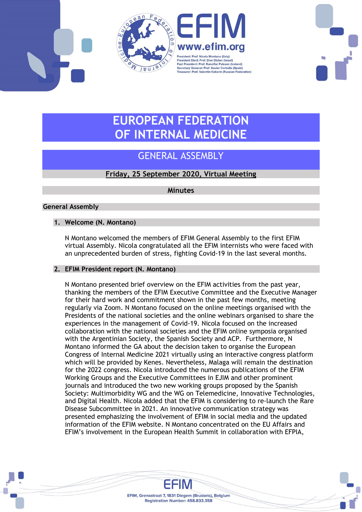



# EUROPEAN FEDERATION OF INTERNAL MEDICINE

# GENERAL ASSEMBLY

## Friday, 25 September 2020, Virtual Meeting

**Minutes** 

### General Assembly

#### 1. Welcome (N. Montano)

N Montano welcomed the members of EFIM General Assembly to the first EFIM virtual Assembly. Nicola congratulated all the EFIM internists who were faced with an unprecedented burden of stress, fighting Covid-19 in the last several months.

#### 2. EFIM President report (N. Montano)

N Montano presented brief overview on the EFIM activities from the past year, thanking the members of the EFIM Executive Committee and the Executive Manager for their hard work and commitment shown in the past few months, meeting regularly via Zoom. N Montano focused on the online meetings organised with the Presidents of the national societies and the online webinars organised to share the experiences in the management of Covid-19. Nicola focused on the increased collaboration with the national societies and the EFIM online symposia organised with the Argentinian Society, the Spanish Society and ACP. Furthermore, N Montano informed the GA about the decision taken to organise the European Congress of Internal Medicine 2021 virtually using an interactive congress platform which will be provided by Kenes. Nevertheless, Malaga will remain the destination for the 2022 congress. Nicola introduced the numerous publications of the EFIM Working Groups and the Executive Committees in EJIM and other prominent journals and introduced the two new working groups proposed by the Spanish Society: Multimorbidity WG and the WG on Telemedicine, Innovative Technologies, and Digital Health. Nicola added that the EFIM is considering to re-launch the Rare Disease Subcommittee in 2021. An innovative communication strategy was presented emphasizing the involvement of EFIM in social media and the updated information of the EFIM website. N Montano concentrated on the EU Affairs and EFIM's involvement in the European Health Summit in collaboration with EFPIA,

> EFIM, Grensstraat 7, 1831 Diegem (Brussels), Belgium Registration Number: 458.833.358

EFIM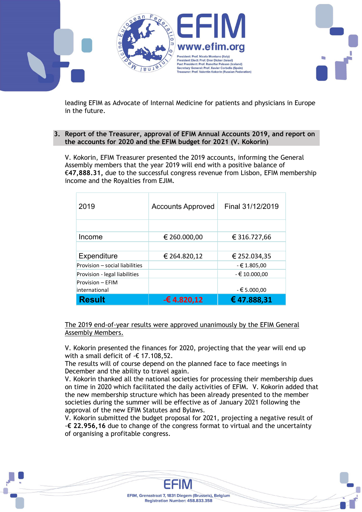

leading EFIM as Advocate of Internal Medicine for patients and physicians in Europe in the future.

#### 3. Report of the Treasurer, approval of EFIM Annual Accounts 2019, and report on the accounts for 2020 and the EFIM budget for 2021 (V. Kokorin)

V. Kokorin, EFIM Treasurer presented the 2019 accounts, informing the General Assembly members that the year 2019 will end with a positive balance of €47,888.31, due to the successful congress revenue from Lisbon, EFIM membership income and the Royalties from EJIM.

| 2019                                     | <b>Accounts Approved</b> | Final 31/12/2019 |
|------------------------------------------|--------------------------|------------------|
|                                          |                          |                  |
| Income                                   | € 260.000,00             | € 316.727,66     |
|                                          |                          |                  |
| Expenditure                              | € 264.820,12             | € 252.034,35     |
| Provision - social liabilities           |                          | $-61.805,00$     |
| Provision - legal liabilities            |                          | $-610.000,00$    |
| <b>Provision - EFIM</b><br>international |                          | $-€5.000,00$     |
| <b>Result</b>                            | -€4.820,12               | €47.888,31       |

The 2019 end-of-year results were approved unanimously by the EFIM General Assembly Members.

V. Kokorin presented the finances for 2020, projecting that the year will end up with a small deficit of -€ 17.108,52.

The results will of course depend on the planned face to face meetings in December and the ability to travel again.

V. Kokorin thanked all the national societies for processing their membership dues on time in 2020 which facilitated the daily activities of EFIM. V. Kokorin added that the new membership structure which has been already presented to the member societies during the summer will be effective as of January 2021 following the approval of the new EFIM Statutes and Bylaws.

V. Kokorin submitted the budget proposal for 2021, projecting a negative result of  $-\epsilon$  22.956,16 due to change of the congress format to virtual and the uncertainty of organising a profitable congress.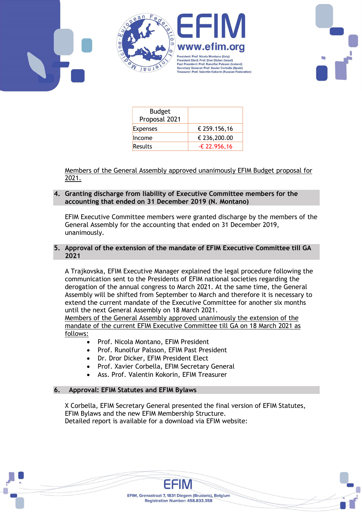



| <b>Budget</b><br>Proposal 2021 |                |
|--------------------------------|----------------|
| <b>Expenses</b>                | € 259.156,16   |
| Income                         | € 236,200.00   |
| <b>Results</b>                 | $-£$ 22.956,16 |

Members of the General Assembly approved unanimously EFIM Budget proposal for 2021.

#### 4. Granting discharge from liability of Executive Committee members for the accounting that ended on 31 December 2019 (N. Montano)

EFIM Executive Committee members were granted discharge by the members of the General Assembly for the accounting that ended on 31 December 2019, unanimously.

#### 5. Approval of the extension of the mandate of EFIM Executive Committee till GA 2021

A Trajkovska, EFIM Executive Manager explained the legal procedure following the communication sent to the Presidents of EFIM national societies regarding the derogation of the annual congress to March 2021. At the same time, the General Assembly will be shifted from September to March and therefore it is necessary to extend the current mandate of the Executive Committee for another six months until the next General Assembly on 18 March 2021.

Members of the General Assembly approved unanimously the extension of the mandate of the current EFIM Executive Committee till GA on 18 March 2021 as follows:

- Prof. Nicola Montano, EFIM President
- Prof. Runolfur Palsson, EFIM Past President
- Dr. Dror Dicker, EFIM President Elect
- Prof. Xavier Corbella, EFIM Secretary General
- Ass. Prof. Valentin Kokorin, EFIM Treasurer

#### 6. Approval: EFIM Statutes and EFIM Bylaws

X Corbella, EFIM Secretary General presented the final version of EFIM Statutes, EFIM Bylaws and the new EFIM Membership Structure. Detailed report is available for a download via EFIM website: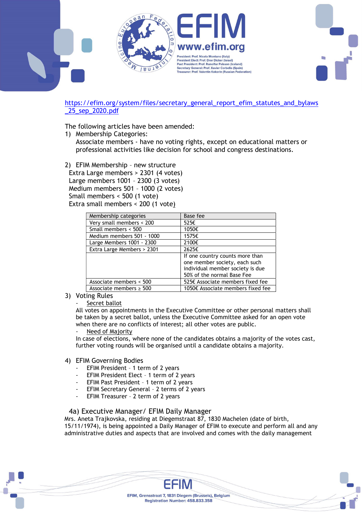



The following articles have been amended:

1) Membership Categories: Associate members - have no voting rights, except on educational matters or professional activities like decision for school and congress destinations.

2) EFIM Membership – new structure Extra Large members > 2301 (4 votes) Large members 1001 – 2300 (3 votes) Medium members 501 – 1000 (2 votes) Small members < 500 (1 vote) Extra small members < 200 (1 vote)

| Membership categories        | Base fee                                                                                                                           |
|------------------------------|------------------------------------------------------------------------------------------------------------------------------------|
| Very small members < 200     | 525€                                                                                                                               |
| Small members < 500          | 1050€                                                                                                                              |
| Medium members 501 - 1000    | 1575€                                                                                                                              |
| Large Members 1001 - 2300    | 2100€                                                                                                                              |
| Extra Large Members > 2301   | 2625€                                                                                                                              |
|                              | If one country counts more than<br>one member society, each such<br>individual member society is due<br>50% of the normal Base Fee |
| Associate members < 500      | 525€ Associate members fixed fee                                                                                                   |
| Associate members $\geq 500$ | 1050€ Associate members fixed fee                                                                                                  |

#### 3) Voting Rules

Secret ballot

All votes on appointments in the Executive Committee or other personal matters shall be taken by a secret ballot, unless the Executive Committee asked for an open vote when there are no conflicts of interest; all other votes are public.

Need of Majority

In case of elections, where none of the candidates obtains a majority of the votes cast, further voting rounds will be organised until a candidate obtains a majority.

#### 4) EFIM Governing Bodies

- EFIM President 1 term of 2 years
- EFIM President Elect 1 term of 2 years
- EFIM Past President 1 term of 2 years
- EFIM Secretary General 2 terms of 2 years
- EFIM Treasurer 2 term of 2 years

#### 4a) Executive Manager/ EFIM Daily Manager

Mrs. Aneta Trajkovska, residing at Diegemstraat 87, 1830 Machelen (date of birth, 15/11/1974), is being appointed a Daily Manager of EFIM to execute and perform all and any administrative duties and aspects that are involved and comes with the daily management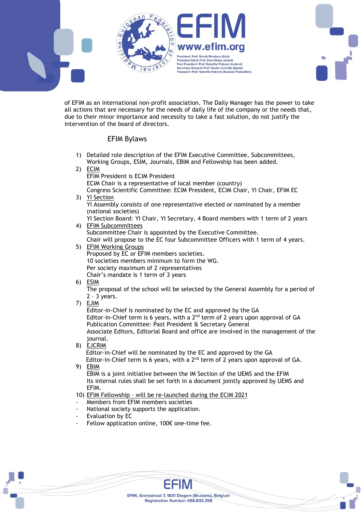

of EFIM as an international non-profit association. The Daily Manager has the power to take all actions that are necessary for the needs of daily life of the company or the needs that, due to their minor importance and necessity to take a fast solution, do not justify the intervention of the board of directors.

#### EFIM Bylaws

- 1) Detailed role description of the EFIM Executive Committee, Subcommittees, Working Groups, ESIM, Journals, EBIM and Fellowship has been added.
- 2) ECIM

EFIM President is ECIM President ECIM Chair is a representative of local member (country) Congress Scientific Committee: ECIM President, ECIM Chair, YI Chair, EFIM EC

3) YI Section

YI Assembly consists of one representative elected or nominated by a member (national societies)

YI Section Board: YI Chair, YI Secretary, 4 Board members with 1 term of 2 years

#### 4) EFIM Subcommittees

Subcommittee Chair is appointed by the Executive Committee.

Chair will propose to the EC four Subcommittee Officers with 1 term of 4 years.

- 5) EFIM Working Groups Proposed by EC or EFIM members societies. 10 societies members minimum to form the WG. Per society maximum of 2 representatives Chair's mandate is 1 term of 3 years
- 6) ESIM

The proposal of the school will be selected by the General Assembly for a period of  $2 - 3$  years.

7) EJIM

Editor-in-Chief is nominated by the EC and approved by the GA Editor-in-Chief term is 6 years, with a  $2<sup>nd</sup>$  term of 2 years upon approval of GA Publication Committee: Past President & Secretary General Associate Editors, Editorial Board and office are involved in the management of the journal.

8) EJCRIM

Editor-in-Chief will be nominated by the EC and approved by the GA Editor-in-Chief term is 6 years, with a  $2<sup>nd</sup>$  term of 2 years upon approval of GA.

9) EBIM

EBIM is a joint initiative between the IM Section of the UEMS and the EFIM Its internal rules shall be set forth in a document jointly approved by UEMS and EFIM.

10) EFIM Fellowship – will be re-launched during the ECIM 2021

- Members from EFIM members societies
- National society supports the application.
- Evaluation by EC
- Fellow application online,  $100 $\epsilon$  one-time fee.$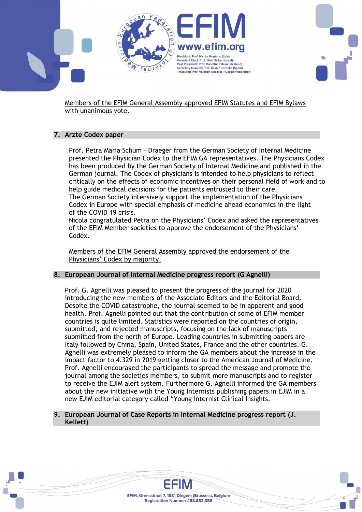

Members of the EFIM General Assembly approved EFIM Statutes and EFIM Bylaws with unanimous vote.

#### 7. Arzte Codex paper

Prof. Petra Maria Schum – Draeger from the German Society of Internal Medicine presented the Physician Codex to the EFIM GA representatives. The Physicians Codex has been produced by the German Society of Internal Medicine and published in the German journal. The Codex of physicians is intended to help physicians to reflect critically on the effects of economic incentives on their personal field of work and to help guide medical decisions for the patients entrusted to their care. The German Society intensively support the implementation of the Physicians

Codex in Europe with special emphasis of medicine ahead economics in the light of the COVID 19 crisis.

Nicola congratulated Petra on the Physicians' Codex and asked the representatives of the EFIM Member societies to approve the endorsement of the Physicians' Codex.

Members of the EFIM General Assembly approved the endorsement of the Physicians' Codex by majority.

#### 8. European Journal of Internal Medicine progress report (G Agnelli)

Prof. G. Agnelli was pleased to present the progress of the journal for 2020 introducing the new members of the Associate Editors and the Editorial Board. Despite the COVID catastrophe, the journal seemed to be in apparent and good health. Prof. Agnelli pointed out that the contribution of some of EFIM member countries is quite limited. Statistics were reported on the countries of origin, submitted, and rejected manuscripts, focusing on the lack of manuscripts submitted from the north of Europe. Leading countries in submitting papers are Italy followed by China, Spain, United States, France and the other countries. G. Agnelli was extremely pleased to inform the GA members about the increase in the impact factor to 4.329 in 2019 getting closer to the American Journal of Medicine. Prof. Agnelli encouraged the participants to spread the message and promote the journal among the societies members, to submit more manuscripts and to register to receive the EJIM alert system. Furthermore G. Agnelli informed the GA members about the new initiative with the Young Internists publishing papers in EJIM in a new EJIM editorial category called "Young Internist Clinical Insights.

#### 9. European Journal of Case Reports in Internal Medicine progress report (J. Kellett)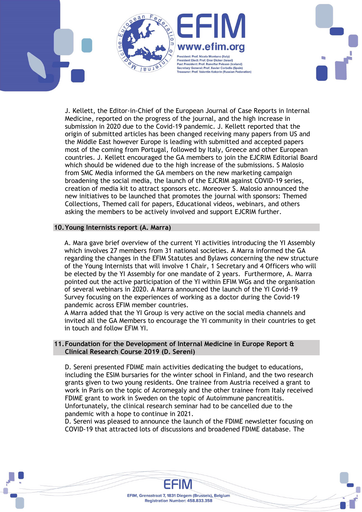

J. Kellett, the Editor-in-Chief of the European Journal of Case Reports in Internal Medicine, reported on the progress of the journal, and the high increase in submission in 2020 due to the Covid-19 pandemic. J. Kellett reported that the origin of submitted articles has been changed receiving many papers from US and the Middle East however Europe is leading with submitted and accepted papers most of the coming from Portugal, followed by Italy, Greece and other European countries. J. Kellett encouraged the GA members to join the EJCRIM Editorial Board which should be widened due to the high increase of the submissions. S Malosio from SMC Media informed the GA members on the new marketing campaign broadening the social media, the launch of the EJCRIM against COVID-19 series, creation of media kit to attract sponsors etc. Moreover S. Malosio announced the new initiatives to be launched that promotes the journal with sponsors: Themed Collections, Themed call for papers, Educational videos, webinars, and others asking the members to be actively involved and support EJCRIM further.

#### 10.Young Internists report (A. Marra)

A. Mara gave brief overview of the current YI activities introducing the YI Assembly which involves 27 members from 31 national societies. A Marra informed the GA regarding the changes in the EFIM Statutes and Bylaws concerning the new structure of the Young Internists that will involve 1 Chair, 1 Secretary and 4 Officers who will be elected by the YI Assembly for one mandate of 2 years. Furthermore, A. Marra pointed out the active participation of the YI within EFIM WGs and the organisation of several webinars in 2020. A Marra announced the launch of the YI Covid-19 Survey focusing on the experiences of working as a doctor during the Covid-19 pandemic across EFIM member countries.

A Marra added that the YI Group is very active on the social media channels and invited all the GA Members to encourage the YI community in their countries to get in touch and follow EFIM YI.

#### 11.Foundation for the Development of Internal Medicine in Europe Report & Clinical Research Course 2019 (D. Sereni)

D. Sereni presented FDIME main activities dedicating the budget to educations, including the ESIM bursaries for the winter school in Finland, and the two research grants given to two young residents. One trainee from Austria received a grant to work in Paris on the topic of Acromegaly and the other trainee from Italy received FDIME grant to work in Sweden on the topic of Autoimmune pancreatitis. Unfortunately, the clinical research seminar had to be cancelled due to the pandemic with a hope to continue in 2021.

D. Sereni was pleased to announce the launch of the FDIME newsletter focusing on COVID-19 that attracted lots of discussions and broadened FDIME database. The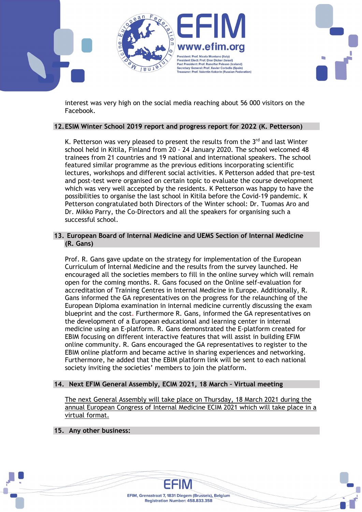

interest was very high on the social media reaching about 56 000 visitors on the Facebook.

#### 12.ESIM Winter School 2019 report and progress report for 2022 (K. Petterson)

K. Petterson was very pleased to present the results from the  $3<sup>rd</sup>$  and last Winter school held in Kitila, Finland from 20 - 24 January 2020. The school welcomed 48 trainees from 21 countries and 19 national and international speakers. The school featured similar programme as the previous editions incorporating scientific lectures, workshops and different social activities. K Petterson added that pre-test and post-test were organised on certain topic to evaluate the course development which was very well accepted by the residents. K Petterson was happy to have the possibilities to organise the last school in Kitila before the Covid-19 pandemic. K Petterson congratulated both Directors of the Winter school: Dr. Tuomas Aro and Dr. Mikko Parry, the Co-Directors and all the speakers for organising such a successful school.

#### 13. European Board of Internal Medicine and UEMS Section of Internal Medicine (R. Gans)

Prof. R. Gans gave update on the strategy for implementation of the European Curriculum of Internal Medicine and the results from the survey launched. He encouraged all the societies members to fill in the online survey which will remain open for the coming months. R. Gans focused on the Online self-evaluation for accreditation of Training Centres in Internal Medicine in Europe. Additionally, R. Gans informed the GA representatives on the progress for the relaunching of the European Diploma examination in internal medicine currently discussing the exam blueprint and the cost. Furthermore R. Gans, informed the GA representatives on the development of a European educational and learning center in internal medicine using an E-platform. R. Gans demonstrated the E-platform created for EBIM focusing on different interactive features that will assist in building EFIM online community. R. Gans encouraged the GA representatives to register to the EBIM online platform and became active in sharing experiences and networking. Furthermore, he added that the EBIM platform link will be sent to each national society inviting the societies' members to join the platform.

#### 14. Next EFIM General Assembly, ECIM 2021, 18 March – Virtual meeting

The next General Assembly will take place on Thursday, 18 March 2021 during the annual European Congress of Internal Medicine ECIM 2021 which will take place in a virtual format.

#### 15. Any other business: